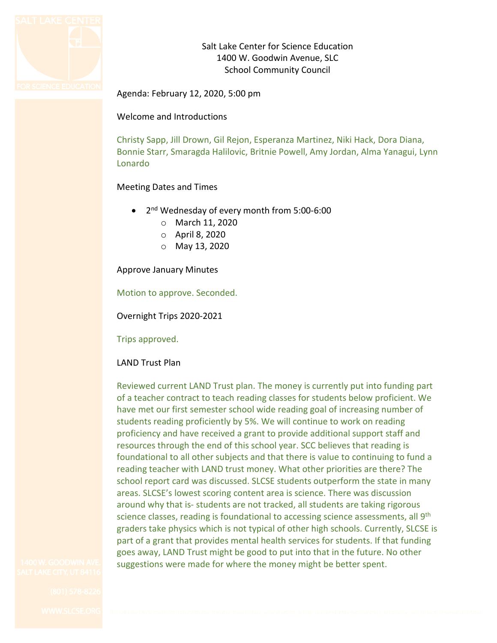

Salt Lake Center for Science Education 1400 W. Goodwin Avenue, SLC School Community Council

Agenda: February 12, 2020, 5:00 pm

Welcome and Introductions

Christy Sapp, Jill Drown, Gil Rejon, Esperanza Martinez, Niki Hack, Dora Diana, Bonnie Starr, Smaragda Halilovic, Britnie Powell, Amy Jordan, Alma Yanagui, Lynn Lonardo

## Meeting Dates and Times

- 2nd Wednesday of every month from 5:00-6:00
	- o March 11, 2020
	- o April 8, 2020
	- o May 13, 2020

Approve January Minutes

Motion to approve. Seconded.

Overnight Trips 2020-2021

Trips approved.

# LAND Trust Plan

Reviewed current LAND Trust plan. The money is currently put into funding part of a teacher contract to teach reading classes for students below proficient. We have met our first semester school wide reading goal of increasing number of students reading proficiently by 5%. We will continue to work on reading proficiency and have received a grant to provide additional support staff and resources through the end of this school year. SCC believes that reading is foundational to all other subjects and that there is value to continuing to fund a reading teacher with LAND trust money. What other priorities are there? The school report card was discussed. SLCSE students outperform the state in many areas. SLCSE's lowest scoring content area is science. There was discussion around why that is- students are not tracked, all students are taking rigorous science classes, reading is foundational to accessing science assessments, all 9<sup>th</sup> graders take physics which is not typical of other high schools. Currently, SLCSE is part of a grant that provides mental health services for students. If that funding goes away, LAND Trust might be good to put into that in the future. No other suggestions were made for where the money might be better spent.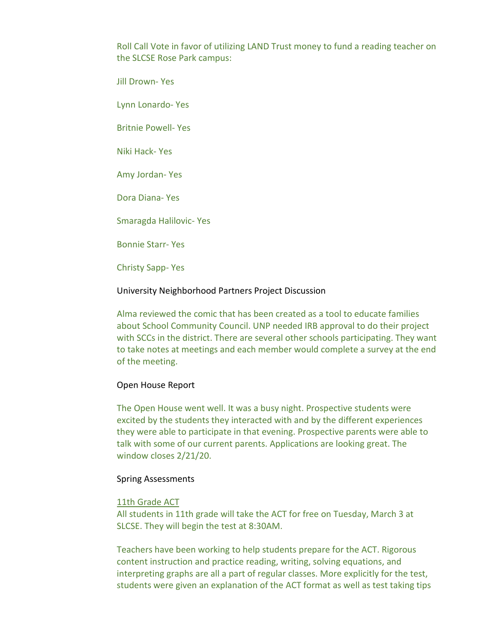Roll Call Vote in favor of utilizing LAND Trust money to fund a reading teacher on the SLCSE Rose Park campus:

Jill Drown- Yes

Lynn Lonardo- Yes

Britnie Powell- Yes

Niki Hack- Yes

Amy Jordan- Yes

Dora Diana- Yes

Smaragda Halilovic- Yes

Bonnie Starr- Yes

Christy Sapp- Yes

## University Neighborhood Partners Project Discussion

Alma reviewed the comic that has been created as a tool to educate families about School Community Council. UNP needed IRB approval to do their project with SCCs in the district. There are several other schools participating. They want to take notes at meetings and each member would complete a survey at the end of the meeting.

## Open House Report

The Open House went well. It was a busy night. Prospective students were excited by the students they interacted with and by the different experiences they were able to participate in that evening. Prospective parents were able to talk with some of our current parents. Applications are looking great. The window closes 2/21/20.

## Spring Assessments

## 11th Grade ACT

All students in 11th grade will take the ACT for free on Tuesday, March 3 at SLCSE. They will begin the test at 8:30AM.

Teachers have been working to help students prepare for the ACT. Rigorous content instruction and practice reading, writing, solving equations, and interpreting graphs are all a part of regular classes. More explicitly for the test, students were given an explanation of the ACT format as well as test taking tips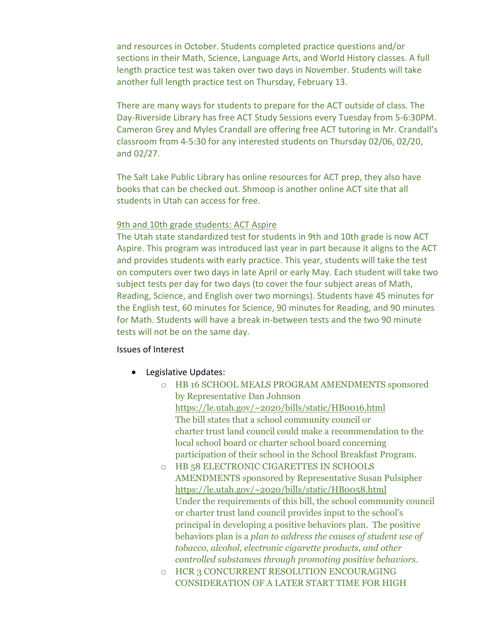and resources in October. Students completed practice questions and/or sections in their Math, Science, Language Arts, and World History classes. A full length practice test was taken over two days in November. Students will take another full length practice test on Thursday, February 13.

There are many ways for students to prepare for the ACT outside of class. The Day-Riverside Library has free ACT Study Sessions every Tuesday from 5-6:30PM. Cameron Grey and Myles Crandall are offering free ACT tutoring in Mr. Crandall's classroom from 4-5:30 for any interested students on Thursday 02/06, 02/20, and 02/27.

The Salt Lake Public Library has online resources for ACT prep, they also have books that can be checked out. Shmoop is another online ACT site that all students in Utah can access for free.

## 9th and 10th grade students: ACT Aspire

The Utah state standardized test for students in 9th and 10th grade is now ACT Aspire. This program was introduced last year in part because it aligns to the ACT and provides students with early practice. This year, students will take the test on computers over two days in late April or early May. Each student will take two subject tests per day for two days (to cover the four subject areas of Math, Reading, Science, and English over two mornings). Students have 45 minutes for the English test, 60 minutes for Science, 90 minutes for Reading, and 90 minutes for Math. Students will have a break in-between tests and the two 90 minute tests will not be on the same day.

## Issues of Interest

- Legislative Updates:
	- o HB 16 SCHOOL MEALS PROGRAM AMENDMENTS sponsored by Representative Dan Johnson [https://le.utah.gov/~2020/bills/static/HB0016.html](https://le.utah.gov/%7E2020/bills/static/HB0016.html) The bill states that a school community council or charter trust land council could make a recommendation to the local school board or charter school board concerning participation of their school in the School Breakfast Program.
	- o HB 58 ELECTRONIC CIGARETTES IN SCHOOLS AMENDMENTS sponsored by Representative Susan Pulsipher [https://le.utah.gov/~2020/bills/static/HB0058.html](https://le.utah.gov/%7E2020/bills/static/HB0058.html) Under the requirements of this bill, the school community council or charter trust land council provides input to the school's principal in developing a positive behaviors plan. The positive behaviors plan is a *plan to address the causes of student use of tobacco, alcohol, electronic cigarette products, and other controlled substances through promoting positive behaviors*.
	- o HCR 3 CONCURRENT RESOLUTION ENCOURAGING CONSIDERATION OF A LATER START TIME FOR HIGH